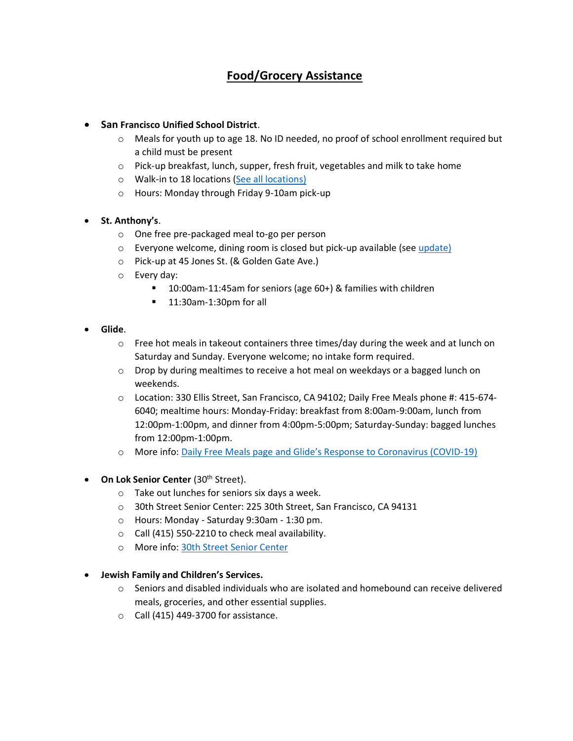# **Food/Grocery Assistance**

# • **San Francisco Unified School District**.

- o Meals for youth up to age 18. No ID needed, no proof of school enrollment required but a child must be present
- o Pick-up breakfast, lunch, supper, fresh fruit, vegetables and milk to take home
- o Walk-in to 18 locations [\(See all locations\)](https://docs.google.com/document/d/1QURiGPWP1pIFw1HjNm3jpY_q4vMWKkd1XcvVUdhgwqE/preview)
- o Hours: Monday through Friday 9-10am pick-up

#### • **St. Anthony's**.

- o One free pre-packaged meal to-go per person
- $\circ$  Everyone welcome, dining room is closed but pick-up available (see [update\)](https://www.stanthonysf.org/dining-room/)
- o Pick-up at 45 Jones St. (& Golden Gate Ave.)
- o Every day:
	- 10:00am-11:45am for seniors (age 60+) & families with children
	- 11:30am-1:30pm for all

#### • **Glide**.

- $\circ$  Free hot meals in takeout containers three times/day during the week and at lunch on Saturday and Sunday. Everyone welcome; no intake form required.
- $\circ$  Drop by during mealtimes to receive a hot meal on weekdays or a bagged lunch on weekends.
- o Location: 330 Ellis Street, San Francisco, CA 94102; Daily Free Meals phone #: 415-674- 6040; mealtime hours: Monday-Friday: breakfast from 8:00am-9:00am, lunch from 12:00pm-1:00pm, and dinner from 4:00pm-5:00pm; Saturday-Sunday: bagged lunches from 12:00pm-1:00pm.
- o More info: [Daily Free Meals page](https://www.glide.org/program/daily-free-meals/) and [Glide's Response to Coronavirus \(COVID](https://www.glide.org/covid19/)-19)
- **On Lok Senior Center** (30<sup>th</sup> Street).
	- o Take out lunches for seniors six days a week.
	- o 30th Street Senior Center: 225 30th Street, San Francisco, CA 94131
	- o Hours: Monday Saturday 9:30am 1:30 pm.
	- o Call (415) 550-2210 to check meal availability.
	- o More info: [30th Street Senior Center](http://30thstreetseniorcenter.org/)
- **Jewish Family and Children's Services.**
	- $\circ$  Seniors and disabled individuals who are isolated and homebound can receive delivered meals, groceries, and other essential supplies.
	- $\circ$  Call (415) 449-3700 for assistance.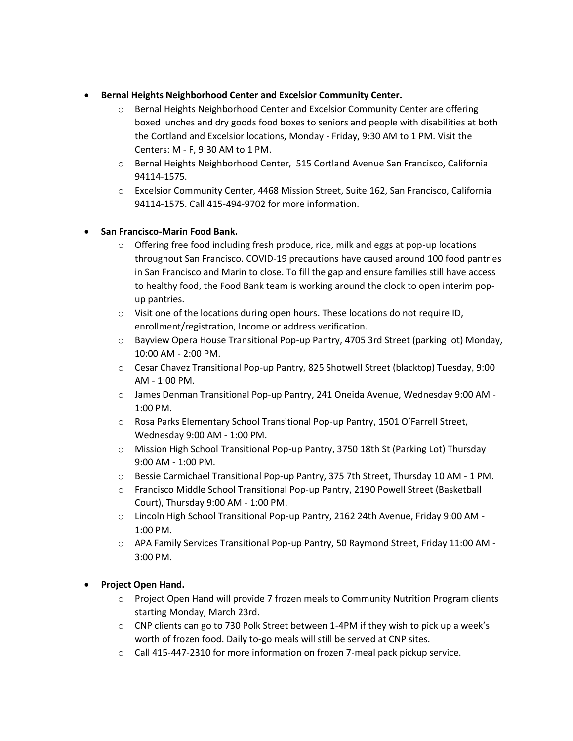# • **Bernal Heights Neighborhood Center and Excelsior Community Center.**

- o Bernal Heights Neighborhood Center and Excelsior Community Center are offering boxed lunches and dry goods food boxes to seniors and people with disabilities at both the Cortland and Excelsior locations, Monday - Friday, 9:30 AM to 1 PM. Visit the Centers: M - F, 9:30 AM to 1 PM.
- o Bernal Heights Neighborhood Center, 515 Cortland Avenue San Francisco, California 94114-1575.
- o Excelsior Community Center, 4468 Mission Street, Suite 162, San Francisco, California 94114-1575. Call 415-494-9702 for more information.

# • **San Francisco-Marin Food Bank.**

- $\circ$  Offering free food including fresh produce, rice, milk and eggs at pop-up locations throughout San Francisco. COVID-19 precautions have caused around 100 food pantries in San Francisco and Marin to close. To fill the gap and ensure families still have access to healthy food, the Food Bank team is working around the clock to open interim popup pantries.
- o Visit one of the locations during open hours. These locations do not require ID, enrollment/registration, Income or address verification.
- o Bayview Opera House Transitional Pop-up Pantry, 4705 3rd Street (parking lot) Monday, 10:00 AM - 2:00 PM.
- o Cesar Chavez Transitional Pop-up Pantry, 825 Shotwell Street (blacktop) Tuesday, 9:00 AM - 1:00 PM.
- o James Denman Transitional Pop-up Pantry, 241 Oneida Avenue, Wednesday 9:00 AM 1:00 PM.
- o Rosa Parks Elementary School Transitional Pop-up Pantry, 1501 O'Farrell Street, Wednesday 9:00 AM - 1:00 PM.
- o Mission High School Transitional Pop-up Pantry, 3750 18th St (Parking Lot) Thursday 9:00 AM - 1:00 PM.
- o Bessie Carmichael Transitional Pop-up Pantry, 375 7th Street, Thursday 10 AM 1 PM.
- o Francisco Middle School Transitional Pop-up Pantry, 2190 Powell Street (Basketball Court), Thursday 9:00 AM - 1:00 PM.
- o Lincoln High School Transitional Pop-up Pantry, 2162 24th Avenue, Friday 9:00 AM 1:00 PM.
- o APA Family Services Transitional Pop-up Pantry, 50 Raymond Street, Friday 11:00 AM 3:00 PM.

# • **Project Open Hand.**

- o Project Open Hand will provide 7 frozen meals to Community Nutrition Program clients starting Monday, March 23rd.
- o CNP clients can go to 730 Polk Street between 1-4PM if they wish to pick up a week's worth of frozen food. Daily to-go meals will still be served at CNP sites.
- o Call 415-447-2310 for more information on frozen 7-meal pack pickup service.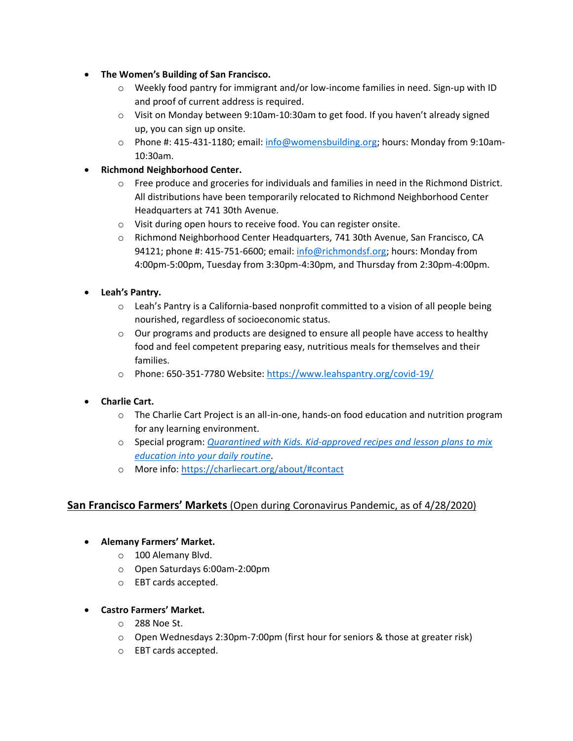- **The Women's Building of San Francisco.**
	- o Weekly food pantry for immigrant and/or low-income families in need. Sign-up with ID and proof of current address is required.
	- $\circ$  Visit on Monday between 9:10am-10:30am to get food. If you haven't already signed up, you can sign up onsite.
	- o Phone #: 415-431-1180; email: [info@womensbuilding.org;](mailto:info@womensbuilding.org) hours: Monday from 9:10am-10:30am.
- **Richmond Neighborhood Center.**
	- $\circ$  Free produce and groceries for individuals and families in need in the Richmond District. All distributions have been temporarily relocated to Richmond Neighborhood Center Headquarters at 741 30th Avenue.
	- o Visit during open hours to receive food. You can register onsite.
	- o Richmond Neighborhood Center Headquarters, 741 30th Avenue, San Francisco, CA 94121; phone #: 415-751-6600; email: [info@richmondsf.org;](mailto:info@richmondsf.org) hours: Monday from 4:00pm-5:00pm, Tuesday from 3:30pm-4:30pm, and Thursday from 2:30pm-4:00pm.
- **Leah's Pantry.**
	- $\circ$  Leah's Pantry is a California-based nonprofit committed to a vision of all people being nourished, regardless of socioeconomic status.
	- $\circ$  Our programs and products are designed to ensure all people have access to healthy food and feel competent preparing easy, nutritious meals for themselves and their families.
	- o Phone: 650-351-7780 Website:<https://www.leahspantry.org/covid-19/>
- **Charlie Cart.**
	- o The Charlie Cart Project is an all-in-one, hands-on food education and nutrition program for any learning environment.
	- o Special program: *[Quarantined with Kids. Kid-approved recipes and lesson plans to mix](https://charliecart.org/stories/cooking-while-quarantined-with-kids/)  [education into your daily routine.](https://charliecart.org/stories/cooking-while-quarantined-with-kids/)*
	- o More info:<https://charliecart.org/about/#contact>

# **San Francisco Farmers' Markets** (Open during Coronavirus Pandemic, as of 4/28/2020)

- **Alemany Farmers' Market.**
	- o 100 Alemany Blvd.
	- o Open Saturdays 6:00am-2:00pm
	- o EBT cards accepted.
- **Castro Farmers' Market.**
	- o 288 Noe St.
	- o Open Wednesdays 2:30pm-7:00pm (first hour for seniors & those at greater risk)
	- o EBT cards accepted.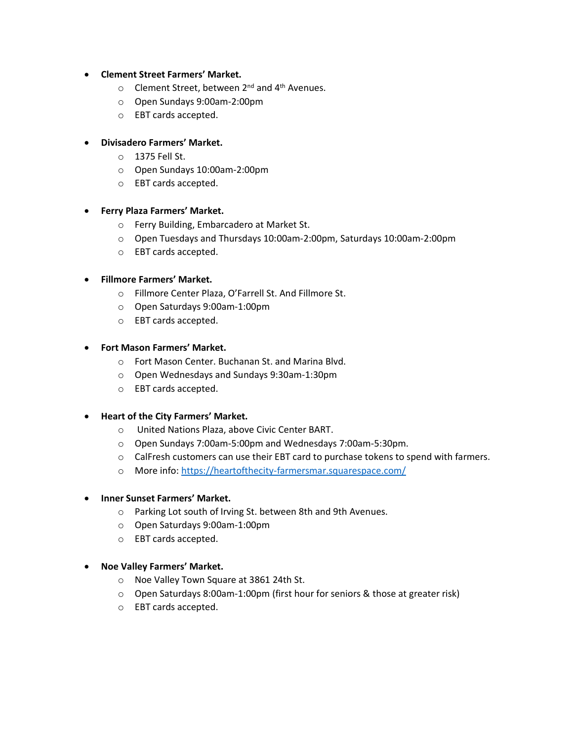#### • **Clement Street Farmers' Market.**

- $\circ$  Clement Street, between 2<sup>nd</sup> and 4<sup>th</sup> Avenues.
- o Open Sundays 9:00am-2:00pm
- o EBT cards accepted.

#### • **Divisadero Farmers' Market.**

- o 1375 Fell St.
- o Open Sundays 10:00am-2:00pm
- o EBT cards accepted.

# • **Ferry Plaza Farmers' Market.**

- o Ferry Building, Embarcadero at Market St.
- o Open Tuesdays and Thursdays 10:00am-2:00pm, Saturdays 10:00am-2:00pm
- o EBT cards accepted.

#### • **Fillmore Farmers' Market.**

- o Fillmore Center Plaza, O'Farrell St. And Fillmore St.
- o Open Saturdays 9:00am-1:00pm
- o EBT cards accepted.

# • **Fort Mason Farmers' Market.**

- o Fort Mason Center. Buchanan St. and Marina Blvd.
- o Open Wednesdays and Sundays 9:30am-1:30pm
- o EBT cards accepted.

#### • **Heart of the City Farmers' Market.**

- o United Nations Plaza, above Civic Center BART.
- o Open Sundays 7:00am-5:00pm and Wednesdays 7:00am-5:30pm.
- o CalFresh customers can use their EBT card to purchase tokens to spend with farmers.
- o More info:<https://heartofthecity-farmersmar.squarespace.com/>

#### • **Inner Sunset Farmers' Market.**

- o Parking Lot south of Irving St. between 8th and 9th Avenues.
- o Open Saturdays 9:00am-1:00pm
- o EBT cards accepted.
- **Noe Valley Farmers' Market.**
	- o Noe Valley Town Square at 3861 24th St.
	- o Open Saturdays 8:00am-1:00pm (first hour for seniors & those at greater risk)
	- o EBT cards accepted.